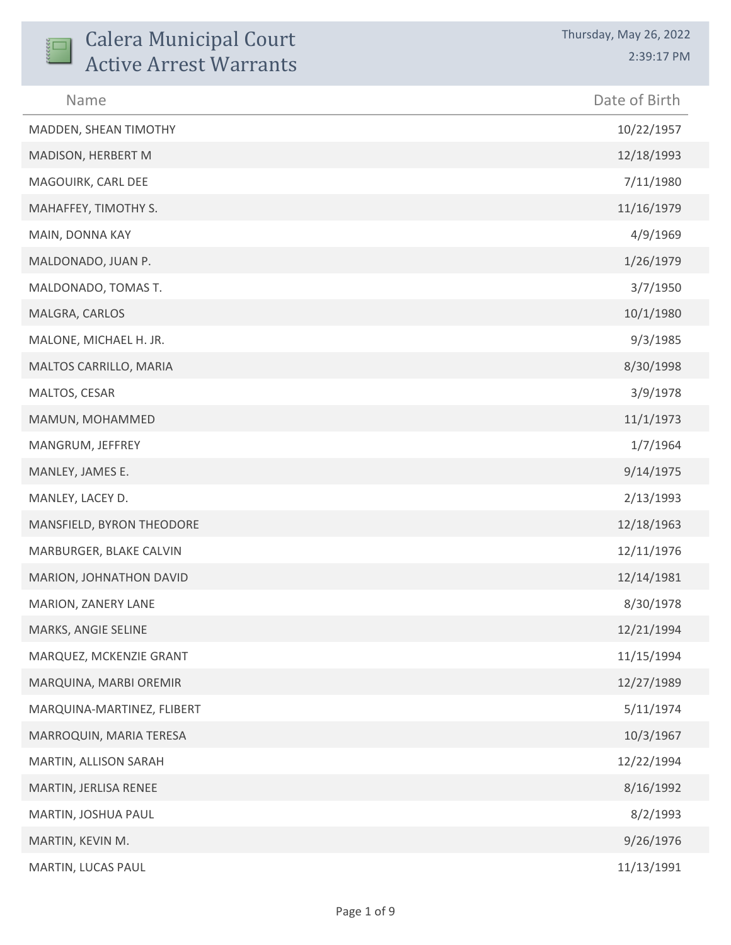| <b>Calera Municipal Court</b><br><b>Active Arrest Warrants</b> | Thursday, May 26, 2022<br>2:39:17 PM |
|----------------------------------------------------------------|--------------------------------------|
| Name                                                           | Date of Birth                        |
| MADDEN, SHEAN TIMOTHY                                          | 10/22/1957                           |
| MADISON, HERBERT M                                             | 12/18/1993                           |
| MAGOUIRK, CARL DEE                                             | 7/11/1980                            |
| MAHAFFEY, TIMOTHY S.                                           | 11/16/1979                           |
| MAIN, DONNA KAY                                                | 4/9/1969                             |
| MALDONADO, JUAN P.                                             | 1/26/1979                            |
| MALDONADO, TOMAS T.                                            | 3/7/1950                             |
| MALGRA, CARLOS                                                 | 10/1/1980                            |
| MALONE, MICHAEL H. JR.                                         | 9/3/1985                             |
| MALTOS CARRILLO, MARIA                                         | 8/30/1998                            |
| MALTOS, CESAR                                                  | 3/9/1978                             |
| MAMUN, MOHAMMED                                                | 11/1/1973                            |
| MANGRUM, JEFFREY                                               | 1/7/1964                             |
| MANLEY, JAMES E.                                               | 9/14/1975                            |
| MANLEY, LACEY D.                                               | 2/13/1993                            |
| MANSFIELD, BYRON THEODORE                                      | 12/18/1963                           |
| MARBURGER, BLAKE CALVIN                                        | 12/11/1976                           |
| MARION, JOHNATHON DAVID                                        | 12/14/1981                           |
| MARION, ZANERY LANE                                            | 8/30/1978                            |
| MARKS, ANGIE SELINE                                            | 12/21/1994                           |
| MARQUEZ, MCKENZIE GRANT                                        | 11/15/1994                           |
| MARQUINA, MARBI OREMIR                                         | 12/27/1989                           |
| MARQUINA-MARTINEZ, FLIBERT                                     | 5/11/1974                            |
| MARROQUIN, MARIA TERESA                                        | 10/3/1967                            |
| MARTIN, ALLISON SARAH                                          | 12/22/1994                           |
| MARTIN, JERLISA RENEE                                          | 8/16/1992                            |
| MARTIN, JOSHUA PAUL                                            | 8/2/1993                             |
| MARTIN, KEVIN M.                                               | 9/26/1976                            |
| MARTIN, LUCAS PAUL                                             | 11/13/1991                           |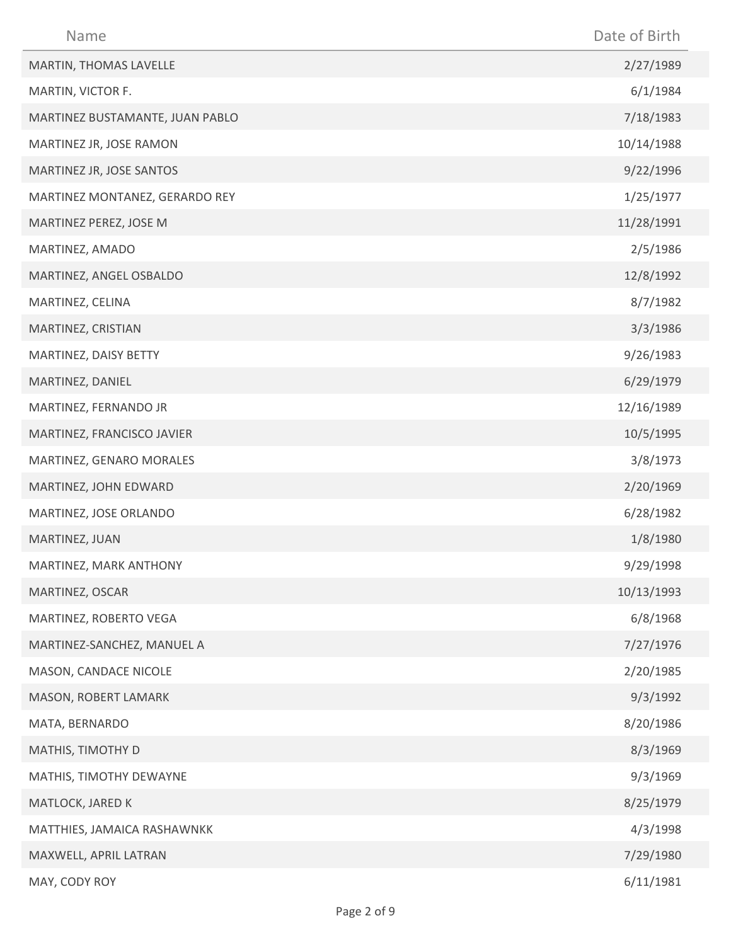| Name                            | Date of Birth |
|---------------------------------|---------------|
| MARTIN, THOMAS LAVELLE          | 2/27/1989     |
| MARTIN, VICTOR F.               | 6/1/1984      |
| MARTINEZ BUSTAMANTE, JUAN PABLO | 7/18/1983     |
| MARTINEZ JR, JOSE RAMON         | 10/14/1988    |
| MARTINEZ JR, JOSE SANTOS        | 9/22/1996     |
| MARTINEZ MONTANEZ, GERARDO REY  | 1/25/1977     |
| MARTINEZ PEREZ, JOSE M          | 11/28/1991    |
| MARTINEZ, AMADO                 | 2/5/1986      |
| MARTINEZ, ANGEL OSBALDO         | 12/8/1992     |
| MARTINEZ, CELINA                | 8/7/1982      |
| MARTINEZ, CRISTIAN              | 3/3/1986      |
| MARTINEZ, DAISY BETTY           | 9/26/1983     |
| MARTINEZ, DANIEL                | 6/29/1979     |
| MARTINEZ, FERNANDO JR           | 12/16/1989    |
| MARTINEZ, FRANCISCO JAVIER      | 10/5/1995     |
| MARTINEZ, GENARO MORALES        | 3/8/1973      |
| MARTINEZ, JOHN EDWARD           | 2/20/1969     |
| MARTINEZ, JOSE ORLANDO          | 6/28/1982     |
| MARTINEZ, JUAN                  | 1/8/1980      |
| MARTINEZ, MARK ANTHONY          | 9/29/1998     |
| MARTINEZ, OSCAR                 | 10/13/1993    |
| MARTINEZ, ROBERTO VEGA          | 6/8/1968      |
| MARTINEZ-SANCHEZ, MANUEL A      | 7/27/1976     |
| MASON, CANDACE NICOLE           | 2/20/1985     |
| MASON, ROBERT LAMARK            | 9/3/1992      |
| MATA, BERNARDO                  | 8/20/1986     |
| MATHIS, TIMOTHY D               | 8/3/1969      |
| MATHIS, TIMOTHY DEWAYNE         | 9/3/1969      |
| MATLOCK, JARED K                | 8/25/1979     |
| MATTHIES, JAMAICA RASHAWNKK     | 4/3/1998      |
| MAXWELL, APRIL LATRAN           | 7/29/1980     |
| MAY, CODY ROY                   | 6/11/1981     |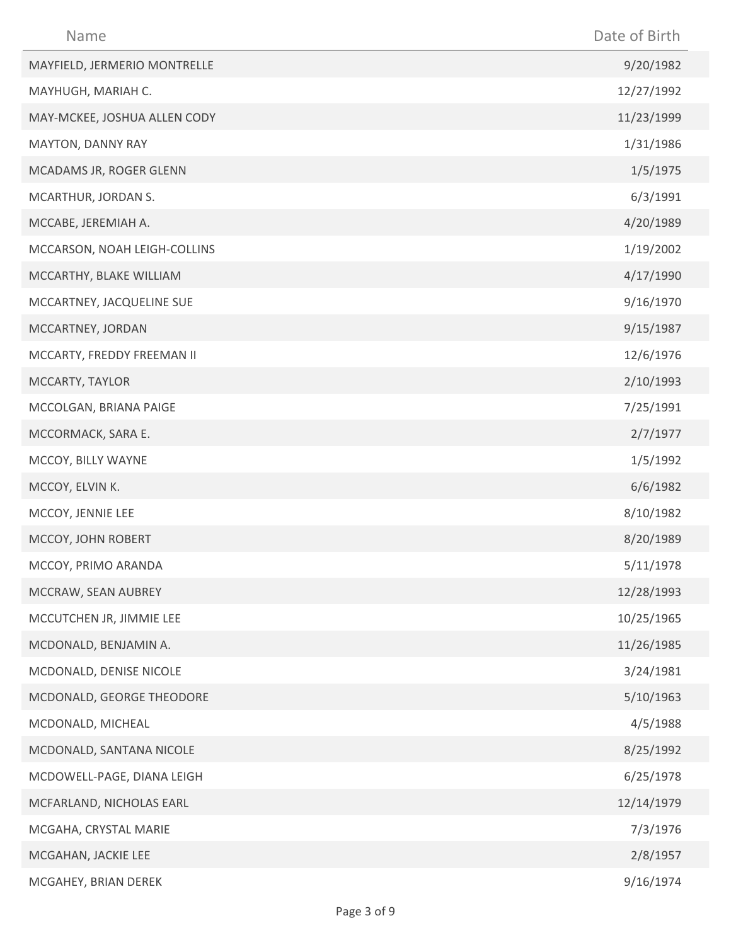| Name                         | Date of Birth |
|------------------------------|---------------|
| MAYFIELD, JERMERIO MONTRELLE | 9/20/1982     |
| MAYHUGH, MARIAH C.           | 12/27/1992    |
| MAY-MCKEE, JOSHUA ALLEN CODY | 11/23/1999    |
| MAYTON, DANNY RAY            | 1/31/1986     |
| MCADAMS JR, ROGER GLENN      | 1/5/1975      |
| MCARTHUR, JORDAN S.          | 6/3/1991      |
| MCCABE, JEREMIAH A.          | 4/20/1989     |
| MCCARSON, NOAH LEIGH-COLLINS | 1/19/2002     |
| MCCARTHY, BLAKE WILLIAM      | 4/17/1990     |
| MCCARTNEY, JACQUELINE SUE    | 9/16/1970     |
| MCCARTNEY, JORDAN            | 9/15/1987     |
| MCCARTY, FREDDY FREEMAN II   | 12/6/1976     |
| MCCARTY, TAYLOR              | 2/10/1993     |
| MCCOLGAN, BRIANA PAIGE       | 7/25/1991     |
| MCCORMACK, SARA E.           | 2/7/1977      |
| MCCOY, BILLY WAYNE           | 1/5/1992      |
| MCCOY, ELVIN K.              | 6/6/1982      |
| MCCOY, JENNIE LEE            | 8/10/1982     |
| MCCOY, JOHN ROBERT           | 8/20/1989     |
| MCCOY, PRIMO ARANDA          | 5/11/1978     |
| MCCRAW, SEAN AUBREY          | 12/28/1993    |
| MCCUTCHEN JR, JIMMIE LEE     | 10/25/1965    |
| MCDONALD, BENJAMIN A.        | 11/26/1985    |
| MCDONALD, DENISE NICOLE      | 3/24/1981     |
| MCDONALD, GEORGE THEODORE    | 5/10/1963     |
| MCDONALD, MICHEAL            | 4/5/1988      |
| MCDONALD, SANTANA NICOLE     | 8/25/1992     |
| MCDOWELL-PAGE, DIANA LEIGH   | 6/25/1978     |
| MCFARLAND, NICHOLAS EARL     | 12/14/1979    |
| MCGAHA, CRYSTAL MARIE        | 7/3/1976      |
| MCGAHAN, JACKIE LEE          | 2/8/1957      |
| MCGAHEY, BRIAN DEREK         | 9/16/1974     |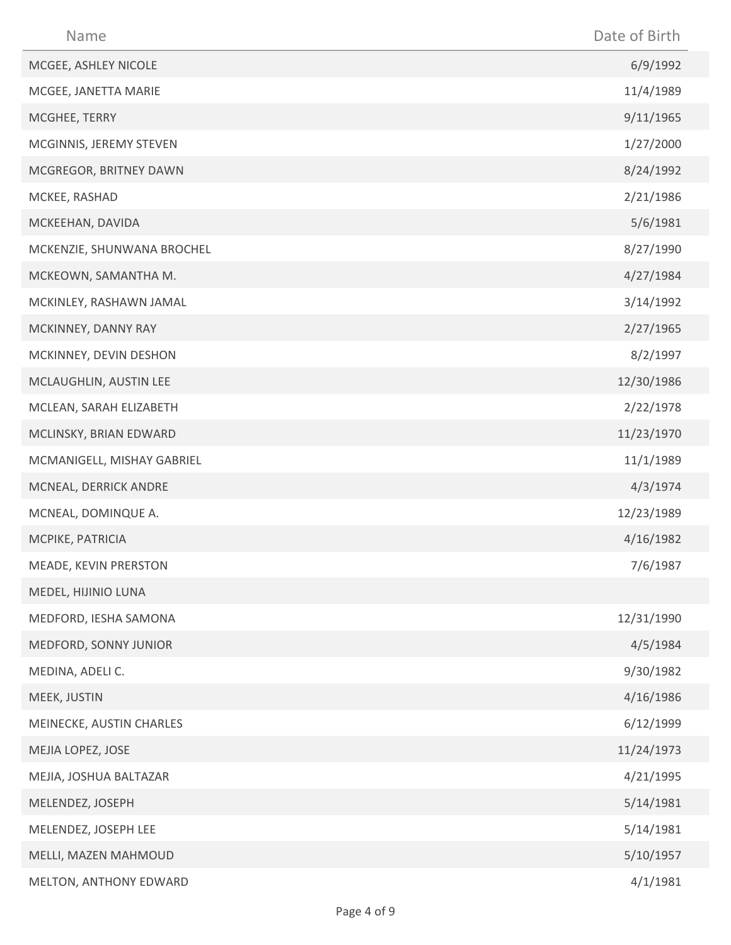| Name                       | Date of Birth |
|----------------------------|---------------|
| MCGEE, ASHLEY NICOLE       | 6/9/1992      |
| MCGEE, JANETTA MARIE       | 11/4/1989     |
| MCGHEE, TERRY              | 9/11/1965     |
| MCGINNIS, JEREMY STEVEN    | 1/27/2000     |
| MCGREGOR, BRITNEY DAWN     | 8/24/1992     |
| MCKEE, RASHAD              | 2/21/1986     |
| MCKEEHAN, DAVIDA           | 5/6/1981      |
| MCKENZIE, SHUNWANA BROCHEL | 8/27/1990     |
| MCKEOWN, SAMANTHA M.       | 4/27/1984     |
| MCKINLEY, RASHAWN JAMAL    | 3/14/1992     |
| MCKINNEY, DANNY RAY        | 2/27/1965     |
| MCKINNEY, DEVIN DESHON     | 8/2/1997      |
| MCLAUGHLIN, AUSTIN LEE     | 12/30/1986    |
| MCLEAN, SARAH ELIZABETH    | 2/22/1978     |
| MCLINSKY, BRIAN EDWARD     | 11/23/1970    |
| MCMANIGELL, MISHAY GABRIEL | 11/1/1989     |
| MCNEAL, DERRICK ANDRE      | 4/3/1974      |
| MCNEAL, DOMINQUE A.        | 12/23/1989    |
| MCPIKE, PATRICIA           | 4/16/1982     |
| MEADE, KEVIN PRERSTON      | 7/6/1987      |
| MEDEL, HIJINIO LUNA        |               |
| MEDFORD, IESHA SAMONA      | 12/31/1990    |
| MEDFORD, SONNY JUNIOR      | 4/5/1984      |
| MEDINA, ADELI C.           | 9/30/1982     |
| MEEK, JUSTIN               | 4/16/1986     |
| MEINECKE, AUSTIN CHARLES   | 6/12/1999     |
| MEJIA LOPEZ, JOSE          | 11/24/1973    |
| MEJIA, JOSHUA BALTAZAR     | 4/21/1995     |
| MELENDEZ, JOSEPH           | 5/14/1981     |
| MELENDEZ, JOSEPH LEE       | 5/14/1981     |
| MELLI, MAZEN MAHMOUD       | 5/10/1957     |
| MELTON, ANTHONY EDWARD     | 4/1/1981      |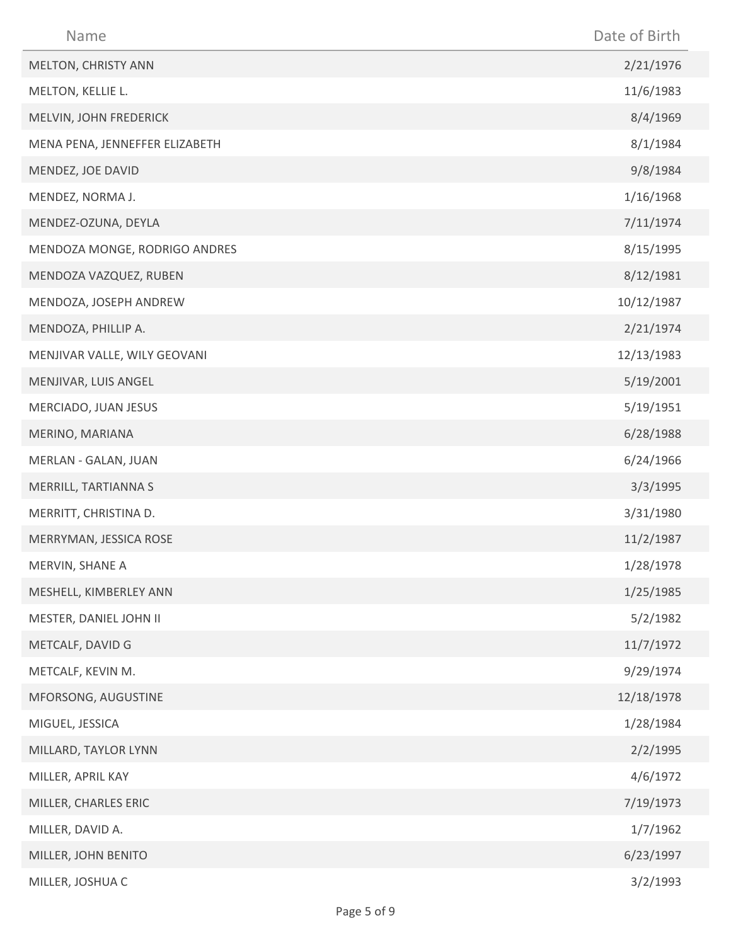| Name                           | Date of Birth |
|--------------------------------|---------------|
| MELTON, CHRISTY ANN            | 2/21/1976     |
| MELTON, KELLIE L.              | 11/6/1983     |
| MELVIN, JOHN FREDERICK         | 8/4/1969      |
| MENA PENA, JENNEFFER ELIZABETH | 8/1/1984      |
| MENDEZ, JOE DAVID              | 9/8/1984      |
| MENDEZ, NORMA J.               | 1/16/1968     |
| MENDEZ-OZUNA, DEYLA            | 7/11/1974     |
| MENDOZA MONGE, RODRIGO ANDRES  | 8/15/1995     |
| MENDOZA VAZQUEZ, RUBEN         | 8/12/1981     |
| MENDOZA, JOSEPH ANDREW         | 10/12/1987    |
| MENDOZA, PHILLIP A.            | 2/21/1974     |
| MENJIVAR VALLE, WILY GEOVANI   | 12/13/1983    |
| MENJIVAR, LUIS ANGEL           | 5/19/2001     |
| MERCIADO, JUAN JESUS           | 5/19/1951     |
| MERINO, MARIANA                | 6/28/1988     |
| MERLAN - GALAN, JUAN           | 6/24/1966     |
| MERRILL, TARTIANNA S           | 3/3/1995      |
| MERRITT, CHRISTINA D.          | 3/31/1980     |
| MERRYMAN, JESSICA ROSE         | 11/2/1987     |
| MERVIN, SHANE A                | 1/28/1978     |
| MESHELL, KIMBERLEY ANN         | 1/25/1985     |
| MESTER, DANIEL JOHN II         | 5/2/1982      |
| METCALF, DAVID G               | 11/7/1972     |
| METCALF, KEVIN M.              | 9/29/1974     |
| MFORSONG, AUGUSTINE            | 12/18/1978    |
| MIGUEL, JESSICA                | 1/28/1984     |
| MILLARD, TAYLOR LYNN           | 2/2/1995      |
| MILLER, APRIL KAY              | 4/6/1972      |
| MILLER, CHARLES ERIC           | 7/19/1973     |
| MILLER, DAVID A.               | 1/7/1962      |
| MILLER, JOHN BENITO            | 6/23/1997     |
| MILLER, JOSHUA C               | 3/2/1993      |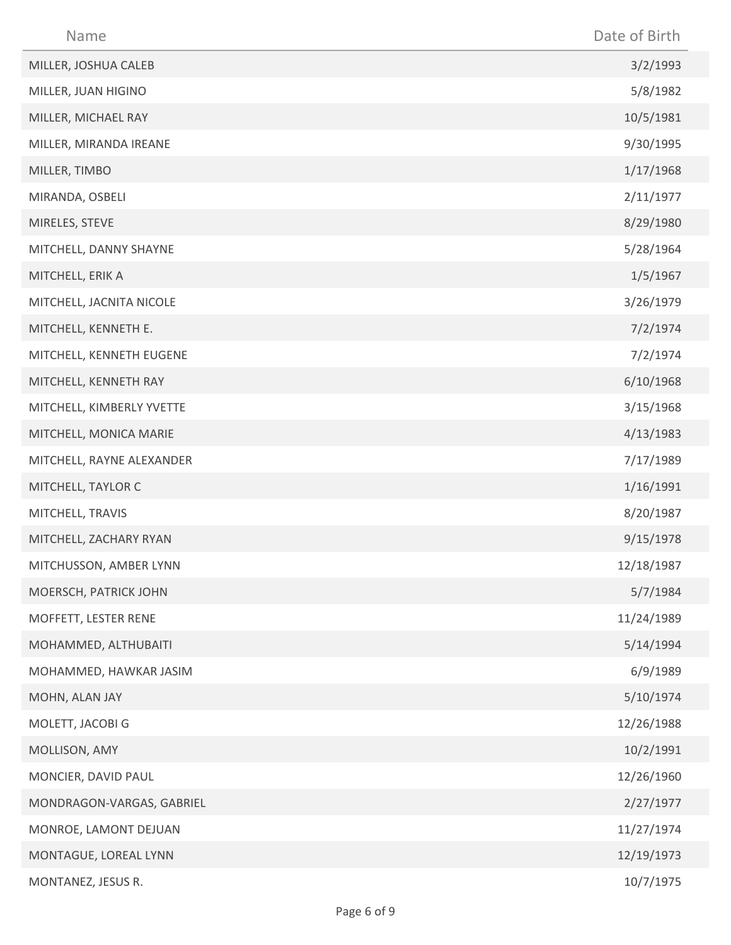| Name                      | Date of Birth |
|---------------------------|---------------|
| MILLER, JOSHUA CALEB      | 3/2/1993      |
| MILLER, JUAN HIGINO       | 5/8/1982      |
| MILLER, MICHAEL RAY       | 10/5/1981     |
| MILLER, MIRANDA IREANE    | 9/30/1995     |
| MILLER, TIMBO             | 1/17/1968     |
| MIRANDA, OSBELI           | 2/11/1977     |
| MIRELES, STEVE            | 8/29/1980     |
| MITCHELL, DANNY SHAYNE    | 5/28/1964     |
| MITCHELL, ERIK A          | 1/5/1967      |
| MITCHELL, JACNITA NICOLE  | 3/26/1979     |
| MITCHELL, KENNETH E.      | 7/2/1974      |
| MITCHELL, KENNETH EUGENE  | 7/2/1974      |
| MITCHELL, KENNETH RAY     | 6/10/1968     |
| MITCHELL, KIMBERLY YVETTE | 3/15/1968     |
| MITCHELL, MONICA MARIE    | 4/13/1983     |
| MITCHELL, RAYNE ALEXANDER | 7/17/1989     |
| MITCHELL, TAYLOR C        | 1/16/1991     |
| MITCHELL, TRAVIS          | 8/20/1987     |
| MITCHELL, ZACHARY RYAN    | 9/15/1978     |
| MITCHUSSON, AMBER LYNN    | 12/18/1987    |
| MOERSCH, PATRICK JOHN     | 5/7/1984      |
| MOFFETT, LESTER RENE      | 11/24/1989    |
| MOHAMMED, ALTHUBAITI      | 5/14/1994     |
| MOHAMMED, HAWKAR JASIM    | 6/9/1989      |
| MOHN, ALAN JAY            | 5/10/1974     |
| MOLETT, JACOBI G          | 12/26/1988    |
| MOLLISON, AMY             | 10/2/1991     |
| MONCIER, DAVID PAUL       | 12/26/1960    |
| MONDRAGON-VARGAS, GABRIEL | 2/27/1977     |
| MONROE, LAMONT DEJUAN     | 11/27/1974    |
| MONTAGUE, LOREAL LYNN     | 12/19/1973    |
| MONTANEZ, JESUS R.        | 10/7/1975     |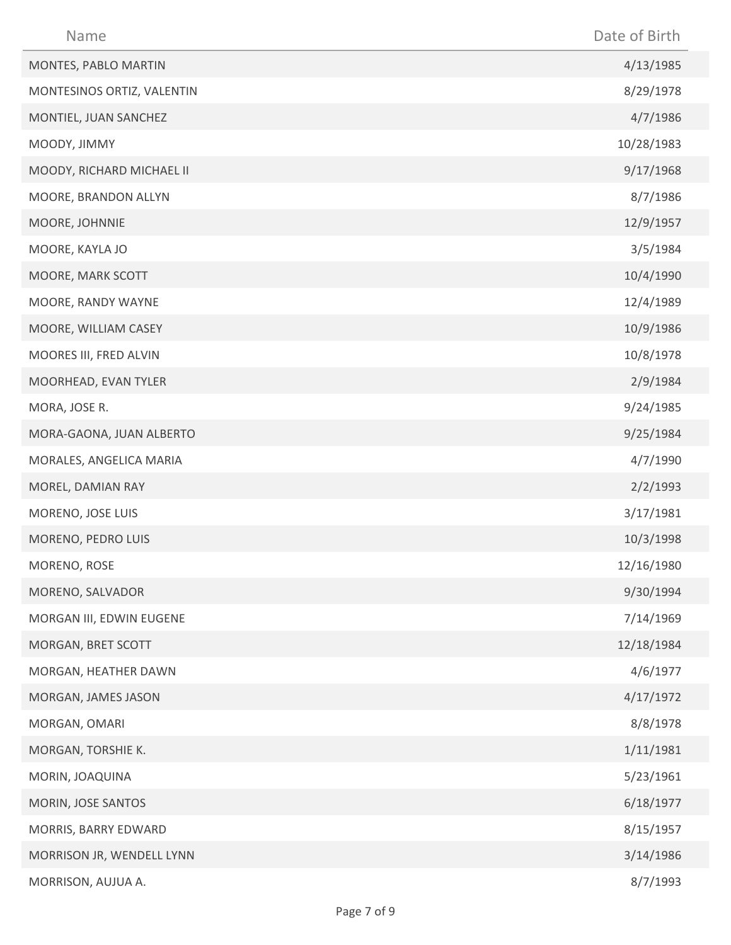| Name                       | Date of Birth |
|----------------------------|---------------|
| MONTES, PABLO MARTIN       | 4/13/1985     |
| MONTESINOS ORTIZ, VALENTIN | 8/29/1978     |
| MONTIEL, JUAN SANCHEZ      | 4/7/1986      |
| MOODY, JIMMY               | 10/28/1983    |
| MOODY, RICHARD MICHAEL II  | 9/17/1968     |
| MOORE, BRANDON ALLYN       | 8/7/1986      |
| MOORE, JOHNNIE             | 12/9/1957     |
| MOORE, KAYLA JO            | 3/5/1984      |
| MOORE, MARK SCOTT          | 10/4/1990     |
| MOORE, RANDY WAYNE         | 12/4/1989     |
| MOORE, WILLIAM CASEY       | 10/9/1986     |
| MOORES III, FRED ALVIN     | 10/8/1978     |
| MOORHEAD, EVAN TYLER       | 2/9/1984      |
| MORA, JOSE R.              | 9/24/1985     |
| MORA-GAONA, JUAN ALBERTO   | 9/25/1984     |
| MORALES, ANGELICA MARIA    | 4/7/1990      |
| MOREL, DAMIAN RAY          | 2/2/1993      |
| MORENO, JOSE LUIS          | 3/17/1981     |
| MORENO, PEDRO LUIS         | 10/3/1998     |
| MORENO, ROSE               | 12/16/1980    |
| MORENO, SALVADOR           | 9/30/1994     |
| MORGAN III, EDWIN EUGENE   | 7/14/1969     |
| MORGAN, BRET SCOTT         | 12/18/1984    |
| MORGAN, HEATHER DAWN       | 4/6/1977      |
| MORGAN, JAMES JASON        | 4/17/1972     |
| MORGAN, OMARI              | 8/8/1978      |
| MORGAN, TORSHIE K.         | 1/11/1981     |
| MORIN, JOAQUINA            | 5/23/1961     |
| MORIN, JOSE SANTOS         | 6/18/1977     |
| MORRIS, BARRY EDWARD       | 8/15/1957     |
| MORRISON JR, WENDELL LYNN  | 3/14/1986     |
| MORRISON, AUJUA A.         | 8/7/1993      |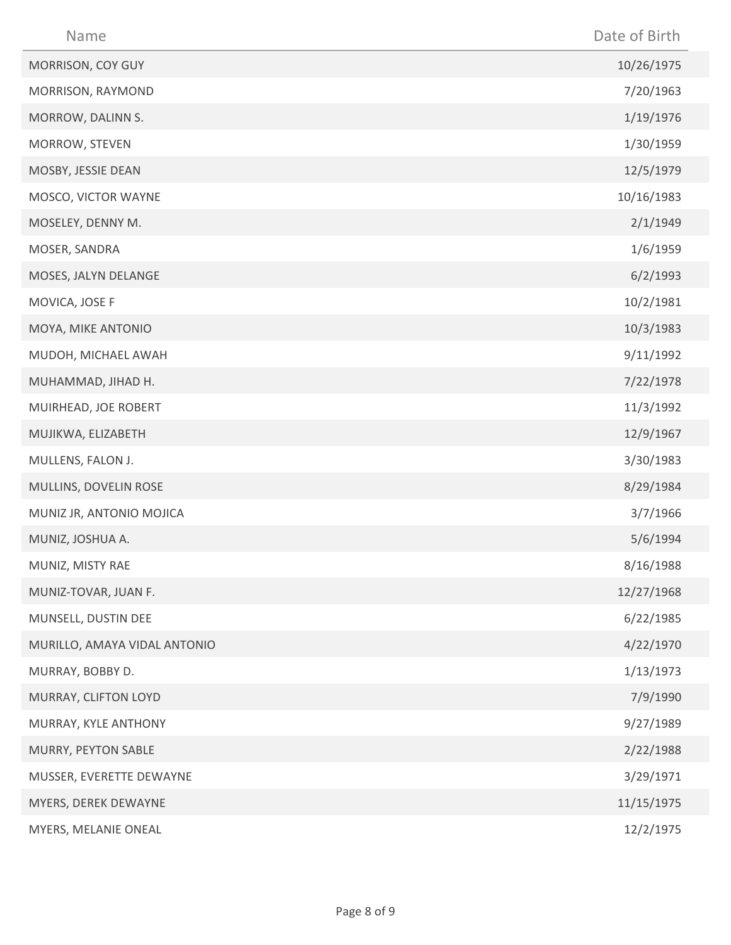| Name                         | Date of Birth |
|------------------------------|---------------|
| MORRISON, COY GUY            | 10/26/1975    |
| MORRISON, RAYMOND            | 7/20/1963     |
| MORROW, DALINN S.            | 1/19/1976     |
| MORROW, STEVEN               | 1/30/1959     |
| MOSBY, JESSIE DEAN           | 12/5/1979     |
| MOSCO, VICTOR WAYNE          | 10/16/1983    |
| MOSELEY, DENNY M.            | 2/1/1949      |
| MOSER, SANDRA                | 1/6/1959      |
| MOSES, JALYN DELANGE         | 6/2/1993      |
| MOVICA, JOSE F               | 10/2/1981     |
| MOYA, MIKE ANTONIO           | 10/3/1983     |
| MUDOH, MICHAEL AWAH          | 9/11/1992     |
| MUHAMMAD, JIHAD H.           | 7/22/1978     |
| MUIRHEAD, JOE ROBERT         | 11/3/1992     |
| MUJIKWA, ELIZABETH           | 12/9/1967     |
| MULLENS, FALON J.            | 3/30/1983     |
| MULLINS, DOVELIN ROSE        | 8/29/1984     |
| MUNIZ JR, ANTONIO MOJICA     | 3/7/1966      |
| MUNIZ, JOSHUA A.             | 5/6/1994      |
| MUNIZ, MISTY RAE             | 8/16/1988     |
| MUNIZ-TOVAR, JUAN F.         | 12/27/1968    |
| MUNSELL, DUSTIN DEE          | 6/22/1985     |
| MURILLO, AMAYA VIDAL ANTONIO | 4/22/1970     |
| MURRAY, BOBBY D.             | 1/13/1973     |
| MURRAY, CLIFTON LOYD         | 7/9/1990      |
| MURRAY, KYLE ANTHONY         | 9/27/1989     |
| MURRY, PEYTON SABLE          | 2/22/1988     |
| MUSSER, EVERETTE DEWAYNE     | 3/29/1971     |
| MYERS, DEREK DEWAYNE         | 11/15/1975    |
| MYERS, MELANIE ONEAL         | 12/2/1975     |